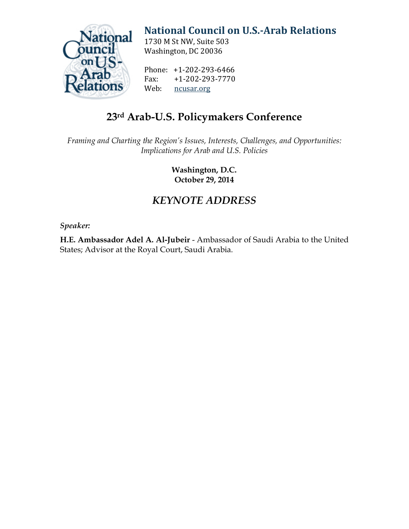

## **[National Council on U.S.-Arab Relations](http://ncusar.org/)**

1730 M St NW, Suite 503 Washington, DC 20036

Phone: +1-202-293-6466<br>Fax: +1-202-293-7770 Fax: +1-202-293-7770<br>Web: ncusar.org [ncusar.org](http://ncusar.org/)

## **23rd Arab-U.S. Policymakers Conference**

*Framing and Charting the Region's Issues, Interests, Challenges, and Opportunities: Implications for Arab and U.S. Policies*

> **Washington, D.C. October 29, 2014**

## *KEYNOTE ADDRESS*

*Speaker:*

**H.E. Ambassador Adel A. Al-Jubeir** - Ambassador of Saudi Arabia to the United States; Advisor at the Royal Court, Saudi Arabia.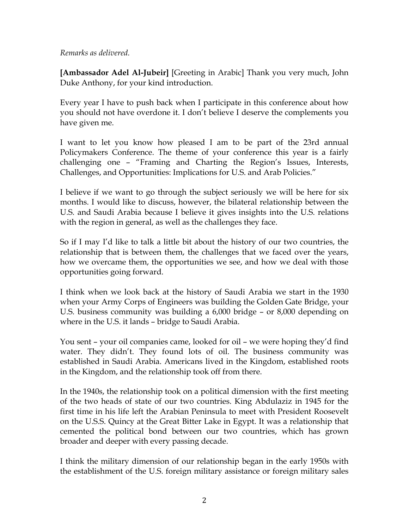## *Remarks as delivered.*

**[Ambassador Adel Al-Jubeir]** [Greeting in Arabic] Thank you very much, John Duke Anthony, for your kind introduction.

Every year I have to push back when I participate in this conference about how you should not have overdone it. I don't believe I deserve the complements you have given me.

I want to let you know how pleased I am to be part of the 23rd annual Policymakers Conference. The theme of your conference this year is a fairly challenging one – "Framing and Charting the Region's Issues, Interests, Challenges, and Opportunities: Implications for U.S. and Arab Policies."

I believe if we want to go through the subject seriously we will be here for six months. I would like to discuss, however, the bilateral relationship between the U.S. and Saudi Arabia because I believe it gives insights into the U.S. relations with the region in general, as well as the challenges they face.

So if I may I'd like to talk a little bit about the history of our two countries, the relationship that is between them, the challenges that we faced over the years, how we overcame them, the opportunities we see, and how we deal with those opportunities going forward.

I think when we look back at the history of Saudi Arabia we start in the 1930 when your Army Corps of Engineers was building the Golden Gate Bridge, your U.S. business community was building a 6,000 bridge – or 8,000 depending on where in the U.S. it lands – bridge to Saudi Arabia.

You sent – your oil companies came, looked for oil – we were hoping they'd find water. They didn't. They found lots of oil. The business community was established in Saudi Arabia. Americans lived in the Kingdom, established roots in the Kingdom, and the relationship took off from there.

In the 1940s, the relationship took on a political dimension with the first meeting of the two heads of state of our two countries. King Abdulaziz in 1945 for the first time in his life left the Arabian Peninsula to meet with President Roosevelt on the U.S.S. Quincy at the Great Bitter Lake in Egypt. It was a relationship that cemented the political bond between our two countries, which has grown broader and deeper with every passing decade.

I think the military dimension of our relationship began in the early 1950s with the establishment of the U.S. foreign military assistance or foreign military sales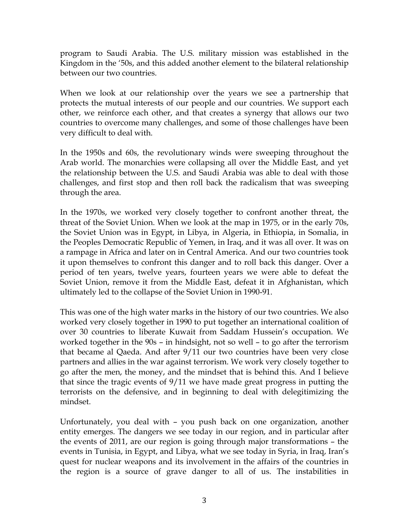program to Saudi Arabia. The U.S. military mission was established in the Kingdom in the '50s, and this added another element to the bilateral relationship between our two countries.

When we look at our relationship over the years we see a partnership that protects the mutual interests of our people and our countries. We support each other, we reinforce each other, and that creates a synergy that allows our two countries to overcome many challenges, and some of those challenges have been very difficult to deal with.

In the 1950s and 60s, the revolutionary winds were sweeping throughout the Arab world. The monarchies were collapsing all over the Middle East, and yet the relationship between the U.S. and Saudi Arabia was able to deal with those challenges, and first stop and then roll back the radicalism that was sweeping through the area.

In the 1970s, we worked very closely together to confront another threat, the threat of the Soviet Union. When we look at the map in 1975, or in the early 70s, the Soviet Union was in Egypt, in Libya, in Algeria, in Ethiopia, in Somalia, in the Peoples Democratic Republic of Yemen, in Iraq, and it was all over. It was on a rampage in Africa and later on in Central America. And our two countries took it upon themselves to confront this danger and to roll back this danger. Over a period of ten years, twelve years, fourteen years we were able to defeat the Soviet Union, remove it from the Middle East, defeat it in Afghanistan, which ultimately led to the collapse of the Soviet Union in 1990-91.

This was one of the high water marks in the history of our two countries. We also worked very closely together in 1990 to put together an international coalition of over 30 countries to liberate Kuwait from Saddam Hussein's occupation. We worked together in the 90s – in hindsight, not so well – to go after the terrorism that became al Qaeda. And after 9/11 our two countries have been very close partners and allies in the war against terrorism. We work very closely together to go after the men, the money, and the mindset that is behind this. And I believe that since the tragic events of 9/11 we have made great progress in putting the terrorists on the defensive, and in beginning to deal with delegitimizing the mindset.

Unfortunately, you deal with – you push back on one organization, another entity emerges. The dangers we see today in our region, and in particular after the events of 2011, are our region is going through major transformations – the events in Tunisia, in Egypt, and Libya, what we see today in Syria, in Iraq, Iran's quest for nuclear weapons and its involvement in the affairs of the countries in the region is a source of grave danger to all of us. The instabilities in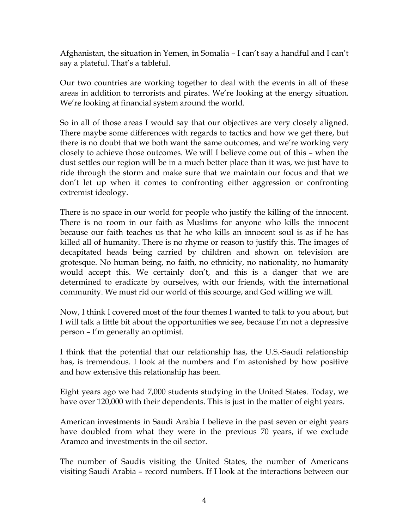Afghanistan, the situation in Yemen, in Somalia – I can't say a handful and I can't say a plateful. That's a tableful.

Our two countries are working together to deal with the events in all of these areas in addition to terrorists and pirates. We're looking at the energy situation. We're looking at financial system around the world.

So in all of those areas I would say that our objectives are very closely aligned. There maybe some differences with regards to tactics and how we get there, but there is no doubt that we both want the same outcomes, and we're working very closely to achieve those outcomes. We will I believe come out of this – when the dust settles our region will be in a much better place than it was, we just have to ride through the storm and make sure that we maintain our focus and that we don't let up when it comes to confronting either aggression or confronting extremist ideology.

There is no space in our world for people who justify the killing of the innocent. There is no room in our faith as Muslims for anyone who kills the innocent because our faith teaches us that he who kills an innocent soul is as if he has killed all of humanity. There is no rhyme or reason to justify this. The images of decapitated heads being carried by children and shown on television are grotesque. No human being, no faith, no ethnicity, no nationality, no humanity would accept this. We certainly don't, and this is a danger that we are determined to eradicate by ourselves, with our friends, with the international community. We must rid our world of this scourge, and God willing we will.

Now, I think I covered most of the four themes I wanted to talk to you about, but I will talk a little bit about the opportunities we see, because I'm not a depressive person – I'm generally an optimist.

I think that the potential that our relationship has, the U.S.-Saudi relationship has, is tremendous. I look at the numbers and I'm astonished by how positive and how extensive this relationship has been.

Eight years ago we had 7,000 students studying in the United States. Today, we have over 120,000 with their dependents. This is just in the matter of eight years.

American investments in Saudi Arabia I believe in the past seven or eight years have doubled from what they were in the previous 70 years, if we exclude Aramco and investments in the oil sector.

The number of Saudis visiting the United States, the number of Americans visiting Saudi Arabia – record numbers. If I look at the interactions between our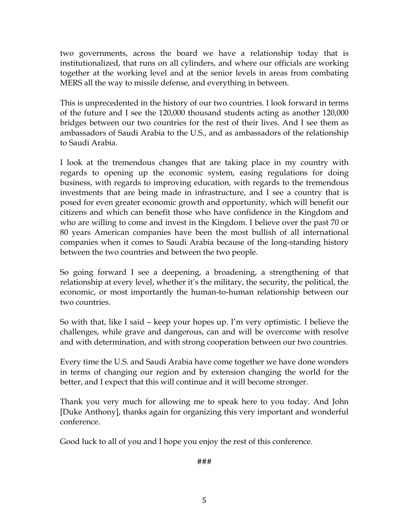two governments, across the board we have a relationship today that is institutionalized, that runs on all cylinders, and where our officials are working together at the working level and at the senior levels in areas from combating MERS all the way to missile defense, and everything in between.

This is unprecedented in the history of our two countries. I look forward in terms of the future and I see the 120,000 thousand students acting as another 120,000 bridges between our two countries for the rest of their lives. And I see them as ambassadors of Saudi Arabia to the U.S., and as ambassadors of the relationship to Saudi Arabia.

I look at the tremendous changes that are taking place in my country with regards to opening up the economic system, easing regulations for doing business, with regards to improving education, with regards to the tremendous investments that are being made in infrastructure, and I see a country that is posed for even greater economic growth and opportunity, which will benefit our citizens and which can benefit those who have confidence in the Kingdom and who are willing to come and invest in the Kingdom. I believe over the past 70 or 80 years American companies have been the most bullish of all international companies when it comes to Saudi Arabia because of the long-standing history between the two countries and between the two people.

So going forward I see a deepening, a broadening, a strengthening of that relationship at every level, whether it's the military, the security, the political, the economic, or most importantly the human-to-human relationship between our two countries.

So with that, like I said – keep your hopes up. I'm very optimistic. I believe the challenges, while grave and dangerous, can and will be overcome with resolve and with determination, and with strong cooperation between our two countries.

Every time the U.S. and Saudi Arabia have come together we have done wonders in terms of changing our region and by extension changing the world for the better, and I expect that this will continue and it will become stronger.

Thank you very much for allowing me to speak here to you today. And John [Duke Anthony], thanks again for organizing this very important and wonderful conference.

Good luck to all of you and I hope you enjoy the rest of this conference.

###